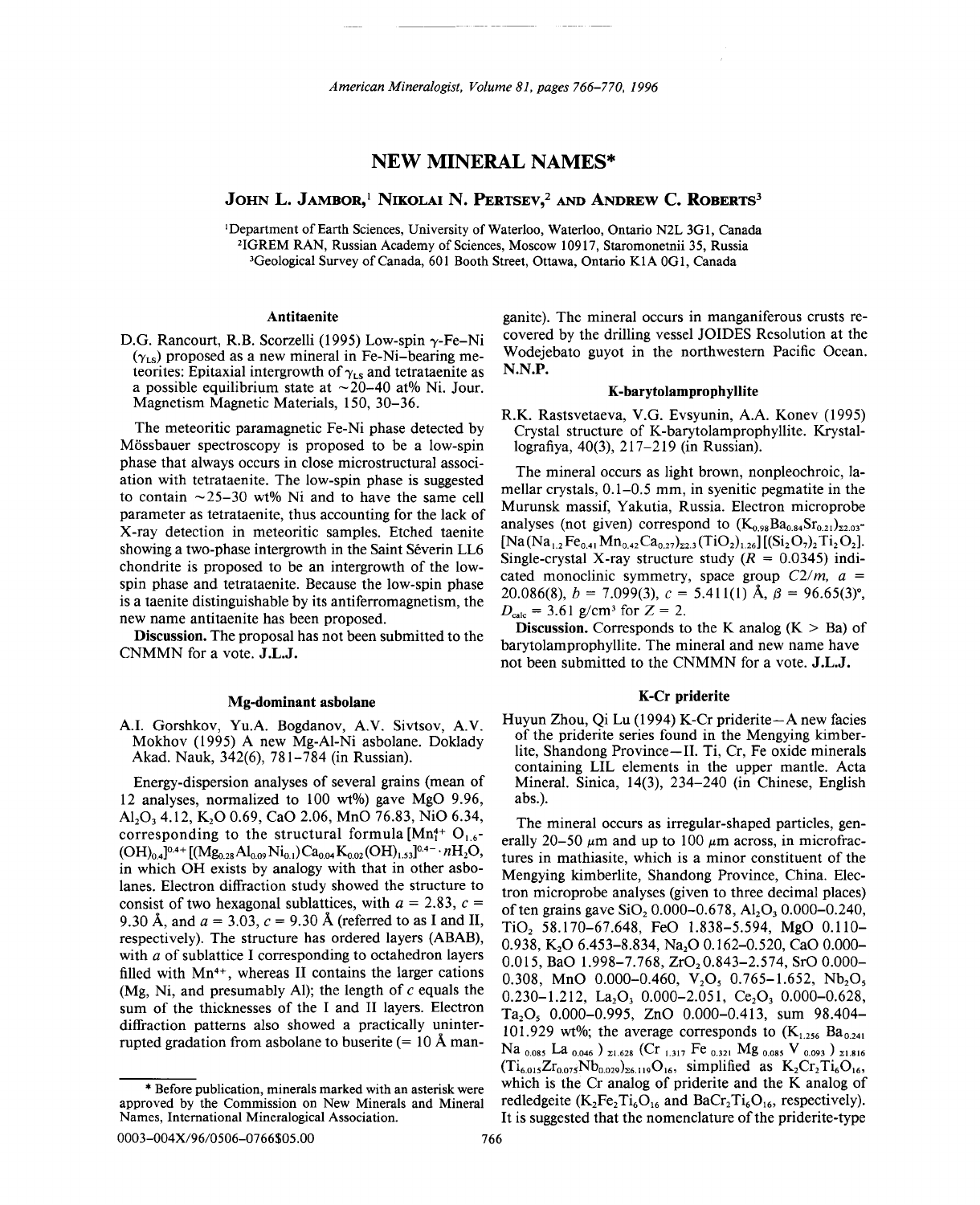# NEW MINERAL NAMES\*

JOHN L. JAMBOR,<sup>1</sup> NIKOLAI N. PERTSEV,<sup>2</sup> and Andrew C. ROBERTS<sup>3</sup>

<sup>I</sup>Department of Earth Sciences, University of Waterloo, Waterloo, Ontario N2L 3Gl, Canada 21GREM RAN, Russian Academy of Sciences, Moscow 10917, Staromonetnii 35, Russia 3Geological Survey of Canada, 601 Booth Street, Ottawa, Ontario KIA OGl, Canada

#### Antitaenite

D.G. Rancourt, R.B. Scorzelli (1995) Low-spin  $\gamma$ -Fe-Ni  $(\gamma_{LS})$  proposed as a new mineral in Fe-Ni-bearing meteorites: Epitaxial intergrowth of  $\gamma_{\text{LS}}$  and tetrataenite as a possible equilibrium state at  $\sim$  20-40 at% Ni. Jour. Magnetism Magnetic Materials, 150, 30-36.

The meteoritic paramagnetic Fe-Ni phase detected by M6ssbauer spectroscopy is proposed to be a low-spin phase that always occurs in close microstructural association with tetrataenite. The low-spin phase is suggested to contain  $\sim$ 25-30 wt% Ni and to have the same cell parameter as tetrataenite, thus accounting for the lack of X-ray detection in meteoritic samples. Etched taenite showing a two-phase intergrowth in the Saint Séverin LL6 chondrite is proposed to be an intergrowth of the lowspin phase and tetrataenite. Because the low-spin phase is a taenite distinguishable by its antiferromagnetism, the new name antitaenite has been proposed.

Discussion. The proposal has not been submitted to the CNMMN for a vote. J.L.J.

## Mg-dominant asbolane

A.I. Gorshkov, Yu.A. Bogdanov, A.V. Sivtsov, A.V. Mokhov (1995) A new Mg-AI-Ni asbo1ane. Doklady Akad. Nauk, 342(6), 781-784 (in Russian).

Energy-dispersion analyses of several grains (mean of 12 analyses, normalized to 100 wt%) gave MgO 9.96, Al<sub>2</sub>O<sub>3</sub> 4.12, K<sub>2</sub>O 0.69, CaO 2.06, MnO 76.83, NiO 6.34, corresponding to the structural formula  $[Mn_1^{4+} O_{1.6}$ - $(OH)_{0.4}$ ]<sup>0.4+</sup>  $[(Mg_{0.28}Al_{0.09}Ni_{0.1})Ca_{0.04}K_{0.02}(OH)_{1.53}]^{0.4-}$  .  $nH_2O$ , in which OH exists by analogy with that in other asbolanes. Electron diffraction study showed the structure to consist of two hexagonal sublattices, with  $a = 2.83$ ,  $c =$ 9.30 Å, and  $a = 3.03$ ,  $c = 9.30$  Å (referred to as I and II, respectively). The structure has ordered layers (ABAB), with *a* of sublattice I corresponding to octahedron layers filled with Mn<sup>4+</sup>, whereas II contains the larger cations (Mg, Ni, and presumably Al); the length of  $c$  equals the sum of the thicknesses of the I and II layers. Electron diffraction patterns also showed a practically uninterrupted gradation from asbolane to buserite ( $= 10 \text{ Å}$  manganite). The mineral occurs in manganiferous crusts recovered by the drilling vessel JOIDES Resolution at the Wodejebato guyot in the northwestern Pacific Ocean. N.N.P.

#### K-barytolamprophyllite

R.K. Rastsvetaeva, V.G. Evsyunin, A.A. Konev (1995) Crystal structure of K-barytolamprophyllite. Krystallografiya, 40(3), 217-219 (in Russian).

The mineral occurs as light brown, nonpleochroic, lamellar crystals, 0.1-0.5 mm, in syenitic pegmatite in the Murunsk massif, Yakutia, Russia. Electron microprobe analyses (not given) correspond to  $(K_{0.98}Ba_{0.84}Sr_{0.21})_{\Sigma2.03}$  $[Na(Na<sub>1.2</sub> Fe<sub>0.41</sub> Mn<sub>0.42</sub> Ca<sub>0.27</sub>)<sub>22.3</sub>(TiO<sub>2</sub>)<sub>1.26</sub>][(Si<sub>2</sub>O<sub>7</sub>)<sub>2</sub> Ti<sub>2</sub>O<sub>2</sub>].$ Single-crystal X-ray structure study  $(R = 0.0345)$  indicated monoclinic symmetry, space group *C2/m, a =* 20.086(8),  $b = 7.099(3)$ ,  $c = 5.411(1)$  Å,  $\beta = 96.65(3)$ °.  $D_{\text{calc}} = 3.61$  g/cm<sup>3</sup> for  $Z = 2$ .

**Discussion.** Corresponds to the K analog  $(K > Ba)$  of barytolamprophyllite. The mineral and new name have not been submitted to the CNMMN for a vote. J.L.J.

### K-Cr priderite

Huyun Zhou, Qi Lu (1994) K-Cr priderite $-A$  new facies of the priderite series found in the Mengying kimberlite, Shandong Province-II. Ti, Cr, Fe oxide minerals containing LIL elements in the upper mantle. Acta Mineral. Sinica, 14(3), 234-240 (in Chinese, English abs.).

The mineral occurs as irregular-shaped particles, generally 20-50  $\mu$ m and up to 100  $\mu$ m across, in microfractures in mathiasite, which is a minor constituent of the Mengying kimberlite, Shandong Province, China. Electron microprobe analyses (given to three decimal places) of ten grains gave SiO,  $0.000-0.678$ , Al<sub>2</sub>O<sub>3</sub> $0.000-0.240$ , Ti02 58.170-67.648, FeO 1.838-5.594, MgO 0.110- 0.938, K<sub>2</sub>O 6.453-8.834, Na<sub>2</sub>O 0.162-0.520, CaO 0.000-0.015, BaO 1.998-7.768, ZrO<sub>2</sub> 0.843-2.574, SrO 0.000-0.308, MnO 0.000-0.460, V<sub>2</sub>O<sub>5</sub> 0.765-1.652, Nb<sub>2</sub>O<sub>5</sub>  $0.230 - 1.212$ , La<sub>2</sub>O<sub>3</sub>  $0.000 - 2.051$ , Ce<sub>2</sub>O<sub>3</sub>  $0.000 - 0.628$ Ta<sub>2</sub>O<sub>5</sub> 0.000-0.995, ZnO 0.000-0.413, sum 98.404-101.929 wt%; the average corresponds to  $(K<sub>1.256</sub> Ba<sub>0.241</sub>)$ Na <sub>0.085</sub> La <sub>0.046</sub> ) <sub>21.628</sub> (Cr <sub>1.317</sub> Fe <sub>0.321</sub> Mg <sub>0.085</sub> V <sub>0.093</sub> ) <sub>21.816</sub>  $(Ti_{6.015}Zr_{0.075}Nb_{0.029})_{26.119}O_{16}$ , simplified as  $K_2Cr_2Ti_6O_{16}$ , which is the Cr analog of priderite and the K analog of redledgeite  $(K_2Fe_2Ti_6O_{16}$  and  $BaCr_2Ti_6O_{16}$ , respectively). It is suggested that the nomenclature of the priderite-type

approved by the Commission on New Minerals and Mineral \* Before publication, minerals marked with an asterisk were Names, International Mineralogical Association.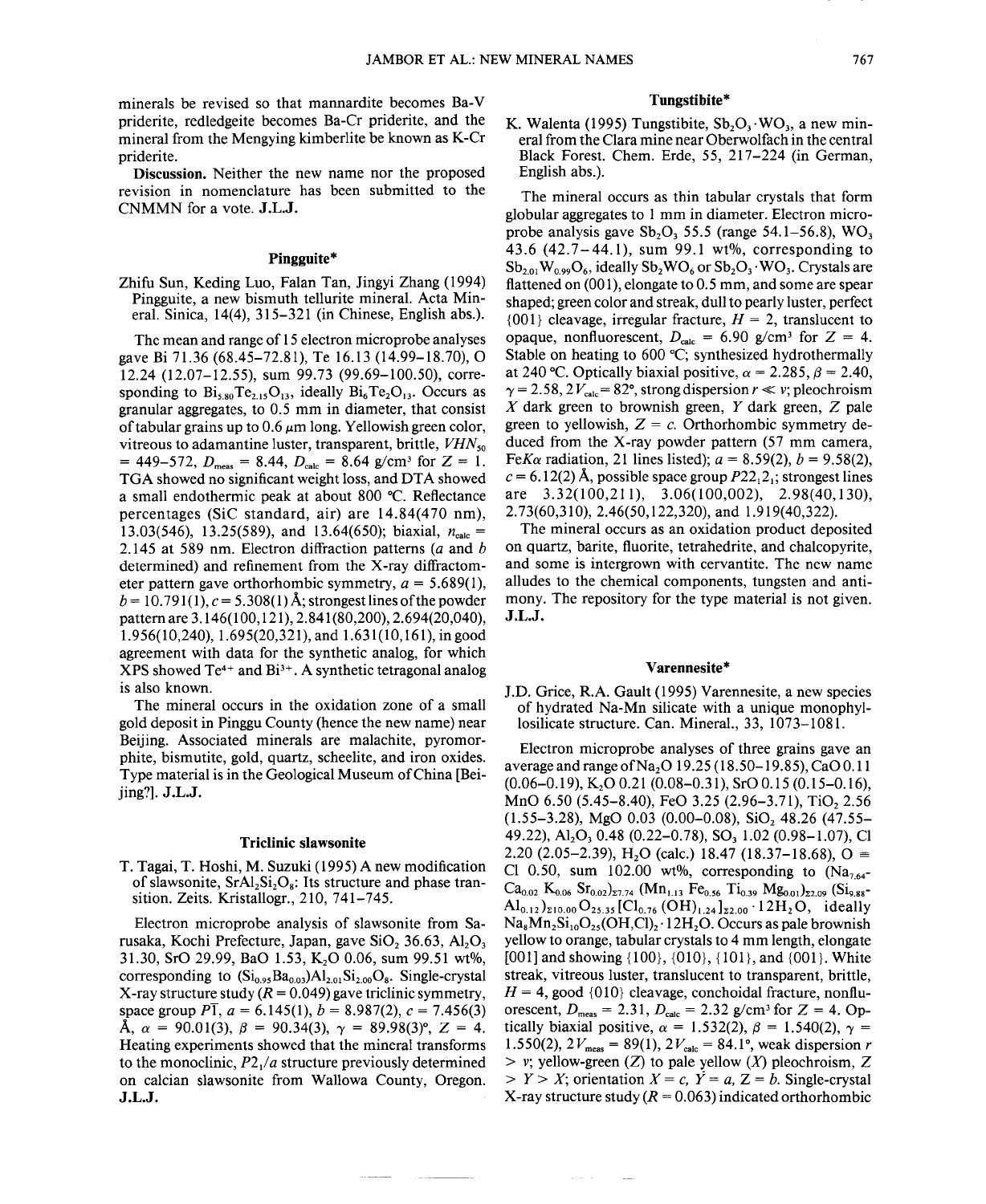minerals be revised so that mannardite becomes Ba-V priderite, redledgeite becomes Ba-Cr priderite, and the mineral from the Mengying kimberlite be known as K-Cr priderite.

Discussion. Neither the new name nor the proposed revision in nomenclature has been submitted to the CNMMN for a vote. J.L.J.

## Pingguite\*

Zhifu Sun, Keding Luo, Falan Tan, Jingyi Zhang (1994) Pingguite, a new bismuth tellurite mineral. Acta Mineral. Sinica, 14(4), 315-321 (in Chinese, English abs.).

The mean and range of 15 electron microprobe analyses gave Bi 71.36 (68.45-72.81), Te 16.13 (14.99-18.70), 0 12.24 (12.07-12.55), sum 99.73 (99.69-100.50), corresponding to  $Bi_{5.80}Te_{2.15}O_{13}$ , ideally  $Bi_6Te_2O_{13}$ . Occurs as granular aggregates, to 0.5 mm in diameter, that consist of tabular grains up to  $0.6 \mu m$  long. Yellowish green color, vitreous to adamantine luster, transparent, brittle, *VHNso* = 449-572,  $D_{\text{meas}} = 8.44$ ,  $D_{\text{calc}} = 8.64$  g/cm<sup>3</sup> for Z = 1. TGA showed no significant weight loss, and DTA showed a small endothermic peak at about 800  $^{\circ}$ C. Reflectance percentages (SiC standard, air) are 14.84(470 nm), 13.03(546), 13.25(589), and 13.64(650); biaxial,  $n_{\text{calc}} =$ 2.145 at 589 nm. Electron diffraction patterns *(a* and *b* determined) and refinement from the X-ray diffractometer pattern gave orthorhombic symmetry,  $a = 5.689(1)$ ,  $b = 10.791(1)$ ,  $c = 5.308(1)$  Å; strongest lines of the powder pattern are 3.146(100,121), 2.841(80,200), 2.694(20,040), 1.956(10,240), 1.695(20,321), and 1.631(10,161), in good agreement with data for the synthetic analog, for which  $XPS$  showed  $Te^{4+}$  and  $Bi^{3+}$ . A synthetic tetragonal analog is also known.

The mineral occurs in the oxidation zone of a small gold deposit in Pinggu County (hence the new name) near Beijing. Associated minerals are malachite, pyromorphite, bismutite, gold, quartz, scheelite, and iron oxides. Type material is in the Geological Museum of China [Beijing?]. J.L.J.

#### Triclinic sIawsonite

T. Tagai, T. Hoshi, M. Suzuki (1995) A new modification of slawsonite,  $SrAl_2Si_2O_8$ : Its structure and phase transition. Zeits. Kristallogr., 210, 741-745.

Electron microprobe analysis of slawsonite from Sarusaka, Kochi Prefecture, Japan, gave SiO<sub>2</sub> 36.63, Al<sub>2</sub>O<sub>3</sub> 31.30, SrO 29.99, BaO 1.53, K<sub>2</sub>O 0.06, sum 99.51 wt%, corresponding to  $(Si_{0.95}Ba_{0.03})Al_{2.01}Si_{2.00}O_8$ . Single-crystal X-ray structure study  $(R = 0.049)$  gave triclinic symmetry, space group  $P\overline{1}$ ,  $a = 6.145(1)$ ,  $b = 8.987(2)$ ,  $c = 7.456(3)$  $\mathbf{A}, \ \alpha = 90.01(3), \ \beta = 90.34(3), \ \gamma = 89.98(3)^\circ, \ Z = 4.$ Heating experiments showed that the mineral transforms to the monoclinic, *P2/a* structure previously determined on calcian slawsonite from Wallowa County, Oregon. J.L.J.

#### Tungstibite\*

K. Walenta (1995) Tungstibite,  $Sb_2O_3 \cdot WO_3$ , a new mineral from the Clara mine near Oberwolfach in the central Black Forest. Chem. Erde, 55, 217-224 (in German, English abs.).

The mineral occurs as thin tabular crystals that form globular aggregates to 1 mm in diameter. Electron microprobe analysis gave  $Sb_2O_3$  55.5 (range 54.1–56.8), WO<sub>3</sub> 43.6  $(42.7-44.1)$ , sum 99.1 wt%, corresponding to  $Sb_{2.01}W_{0.99}O_6$ , ideally  $Sb_2WO_6$  or  $Sb_2O_3 \cdot WO_3$ . Crystals are flattened on (001), elongate to 0.5 mm, and some are spear shaped; green color and streak, dull to pearly luster, perfect  ${001}$  cleavage, irregular fracture,  $H = 2$ , translucent to opaque, nonfluorescent,  $D_{\text{calc}} = 6.90 \text{ g/cm}^3$  for  $Z = 4$ . Stable on heating to  $600 \, \text{°C}$ ; synthesized hydrothermally at 240 °C. Optically biaxial positive,  $\alpha = 2.285$ ,  $\beta = 2.40$ ,  $\gamma = 2.58$ ,  $2V_{\text{calc}} = 82^{\circ}$ , strong dispersion  $r \ll v$ ; pleochroism *X* dark green to brownish green, *Y* dark green, Z pale green to yellowish,  $Z = c$ . Orthorhombic symmetry deduced from the X-ray powder pattern (57 mm camera, *FeKa* radiation, 21 lines listed);  $a = 8.59(2)$ ,  $b = 9.58(2)$ ,  $c = 6.12(2)$  Å, possible space group  $P22<sub>1</sub>2$ ; strongest lines are 3.32(100,211), 3.06(100,002), 2.98(40,130), 2.73(60,310), 2.46(50,122,320), and 1.919(40,322).

The mineral occurs as an oxidation product deposited on quartz, barite, fluorite, tetrahedrite, and chalcopyrite, and some is intergrown with cervantite. The new name alludes to the chemical components, tungsten and antimony. The repository for the type material is not given. J.L.J.

#### Varennesite\*

J.D. Grice, R.A. Gault (1995) Varennesite, a new species of hydrated Na-Mn silicate with a unique monophyllosilicate structure. Can. Mineral., 33, 1073-1081.

Electron microprobe analyses of three grains gave an average and range of  $Na<sub>2</sub>O$  19.25 (18.50–19.85), CaO 0.11  $(0.06-0.19)$ , K<sub>2</sub>O 0.21 (0.08-0.31), SrO 0.15 (0.15-0.16), MnO 6.50 (5.45-8.40), FeO 3.25 (2.96-3.71), TiO, 2.56  $(1.55-3.28)$ , MgO 0.03  $(0.00-0.08)$ , SiO<sub>2</sub> 48.26  $(47.55-$ 49.22), Al<sub>2</sub>O<sub>3</sub> 0.48 (0.22–0.78), SO<sub>3</sub> 1.02 (0.98–1.07), Cl 2.20 (2.05-2.39), H<sub>2</sub>O (calc.) 18.47 (18.37-18.68), O = Cl 0.50, sum 102.00 wt%, corresponding to  $(Na_{7.64}$ - $Ca_{0.02}$  K<sub>0.06</sub> Sr<sub>0.02</sub>)<sub>27.74</sub> (Mn<sub>1.13</sub> Fe<sub>0.56</sub> Ti<sub>0.39</sub> Mg<sub>0.01</sub>)<sub>22.09</sub> (Si<sub>9.88</sub>- $\text{Al}_{0.12}$ )<sub>210.00</sub> O<sub>25.35</sub> [Cl<sub>0.76</sub> (OH)<sub>1.24</sub>]<sub>z2.00</sub> · 12H<sub>2</sub>O, ideally  $Na<sub>8</sub>Mn<sub>2</sub>Si<sub>10</sub>O<sub>25</sub>(OH,Cl)<sub>2</sub>$ . 12H<sub>2</sub>O. Occurs as pale brownish yellow to orange, tabular crystals to 4 mm length, elongate [001] and showing  $\{100\}$ ,  $\{010\}$ ,  $\{101\}$ , and  $\{001\}$ . White streak, vitreous luster, translucent to transparent, brittle,  $H = 4$ , good {010} cleavage, conchoidal fracture, nonfluorescent,  $D_{\text{meas}} = 2.31, D_{\text{calc}} = 2.32$  g/cm<sup>3</sup> for Z = 4. Optically biaxial positive,  $\alpha = 1.532(2)$ ,  $\beta = 1.540(2)$ ,  $\gamma =$ 1.550(2),  $2V_{\text{meas}} = 89(1)$ ,  $2V_{\text{calc}} = 84.1^{\circ}$ , weak dispersion *r > v;* yellow-green (Z) to pale yellow *(X)* pleochroism, Z  $> Y > X$ ; orientation  $X = c$ ,  $Y = a$ ,  $Z = b$ . Single-crystal X-ray structure study  $(R = 0.063)$  indicated orthorhombic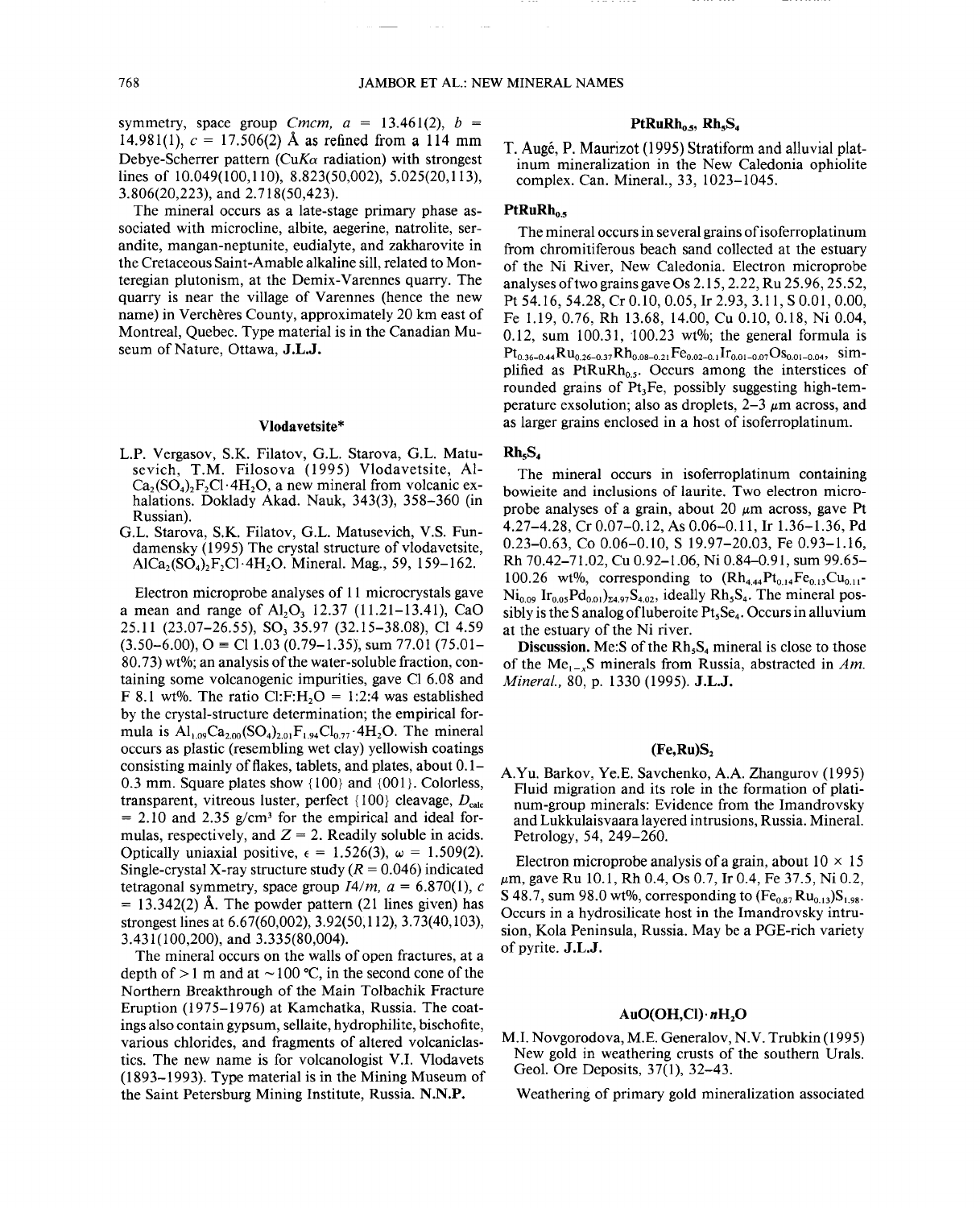symmetry, space group *Cmcm*,  $a = 13.461(2)$ ,  $b =$ 14.981(1),  $c = 17.506(2)$  Å as refined from a 114 mm Debye-Scherrer pattern *(CuK* $\alpha$  radiation) with strongest lines of 10.049(100,110), 8.823(50,002), 5.025(20,113), 3.806(20,223), and 2.718(50,423).

The mineral occurs as a late-stage primary phase associated with microcline, albite, aegerine, natrolite, serandite, mangan-neptunite, eudialyte, and zakharovite in the Cretaceous Saint-Am able alkaline sill, related to Monteregian plutonism, at the Demix-Varennes quarry. The quarry is near the village of Varennes (hence the new name) in Vercheres County, approximately 20 km east of Montreal, Quebec. Type material is in the Canadian Museum of Nature, Ottawa, J.L.J.

### Vloda vetsite\*

- L.P. Vergasov, S.K. Filatov, G.L. Starova, G.L. Matusevich, T.M. Filosova (1995) Vlodavetsite, Al- $Ca_2(SO_4)_2F_2Cl$  · 4H<sub>2</sub>O, a new mineral from volcanic exhalations. Doklady Akad. Nauk, 343(3), 358-360 (in Russian).
- G.L. Starova, S.K. Filatov, G.L. Matusevich, V.S. Fundamensky (1995) The crystal structure of vlodavetsite, AlCa<sub>2</sub>(SO<sub>4</sub>)<sub>2</sub>F<sub>2</sub>Cl·4H<sub>2</sub>O. Mineral. Mag., 59, 159-162.

Electron microprobe analyses of 11 microcrystals gave a mean and range of Al<sub>2</sub>O<sub>3</sub> 12.37 (11.21-13.41), CaO 25.11 (23.07-26.55), SO<sub>3</sub> 35.97 (32.15-38.08), Cl 4.59  $(3.50-6.00),$  O = Cl 1.03 (0.79-1.35), sum 77.01 (75.01-80.73) wt%; an analysis of the water-soluble fraction, containing some volcanogenic impurities, gave Cl 6.08 and F 8.1 wt%. The ratio Cl:F:H<sub>2</sub>O = 1:2:4 was established by the crystal-structure determination; the empirical formula is  $Al_{1.09}Ca_{2.00}(SO_4)_{2.01}F_{1.94}Cl_{0.77}\cdot 4H_2O$ . The mineral occurs as plastic (resembling wet clay) yellowish coatings consisting mainly of flakes, tablets, and plates, about 0.1- 0.3 mm. Square plates show {100} and {001}. Colorless, transparent, vitreous luster, perfect  $\{100\}$  cleavage,  $D_{\text{calc}}$  $= 2.10$  and 2.35 g/cm<sup>3</sup> for the empirical and ideal formulas, respectively, and  $Z = 2$ . Readily soluble in acids. Optically uniaxial positive,  $\epsilon = 1.526(3)$ ,  $\omega = 1.509(2)$ . Single-crystal X-ray structure study  $(R = 0.046)$  indicated tetragonal symmetry, space group  $I4/m$ ,  $a = 6.870(1)$ , c  $= 13.342(2)$  Å. The powder pattern (21 lines given) has strongest lines at 6.67(60,002), 3.92(50,112), 3.73(40,103), 3.431 (100,200), and 3.335(80,004).

The mineral occurs on the walls of open fractures, at a depth of  $> 1$  m and at  $\sim 100$  °C, in the second cone of the Northern Breakthrough of the Main Tolbachik Fracture Eruption (1975-1976) at Kamchatka, Russia. The coatings also contain gypsum, sellaite, hydrophilite, bischofite, various chlorides, and fragments of altered volcaniclastics. The new name is for volcanologist V.L Vlodavets (1893-1993). Type material is in the Mining Museum of the Saint Petersburg Mining Institute, Russia. N.N.P.

## $PtRuRh_{0.5}$ ,  $Rh_{5}S_{4}$

T. Auge, P. Maurizot (1995) Stratiform and alluvial platinum mineralization in the New Caledonia ophiolite complex. Can. Mineral., 33, 1023-1045.

### $PtRuRh<sub>0</sub>$ .

The mineral occurs in several grains of isoferroplatinum from chromitiferous beach sand collected at the estuary of the Ni River, New Caledonia. Electron microprobe analyses of two grains gave Os 2.15,2.22, Ru 25.96, 25.52, Pt 54.16, 54.28, Cr 0.10, 0.05, Ir 2.93, 3.11, S 0.01, 0.00, Fe 1.19,0.76, Rh 13.68, 14.00, Cu 0.10, 0.18, Ni 0.04, 0.12, sum  $100.31$ ,  $100.23$  wt%; the general formula is  $Pt_{0.36-0.44}Ru_{0.26-0.37}Rh_{0.08-0.21}Fe_{0.02-0.1}Ir_{0.01-0.07}Os_{0.01-0.04}$ , simplified as  $PtRuRh<sub>0.5</sub>$ . Occurs among the interstices of rounded grains of  $Pt<sub>3</sub>Fe$ , possibly suggesting high-temperature exsolution; also as droplets,  $2-3 \mu m$  across, and as larger grains enclosed in a host of isoferroplatinum.

#### Rh<sub>5</sub>S<sub>4</sub>

The mineral occurs in isoferroplatinum containing bowieite and inclusions of laurite. Two electron microprobe analyses of a grain, about 20  $\mu$ m across, gave Pt 4.27-4.28, Cr 0.07-0.12, As 0.06-0.11, Ir 1.36-1.36, Pd 0.23-0.63, Co 0.06-0.10, S 19.97-20.03, Fe 0.93-1.16, Rh 70.42-71.02, Cu 0.92-1.06, Ni 0.84-0.91, sum 99.65- 100.26 wt%, corresponding to  $(Rh_{4,44}Pt_{0,14}Fe_{0,13}Cu_{0,11}$ - $Ni<sub>0.09</sub>$  Ir<sub>0.05</sub>Pd<sub>0.01</sub>)<sub>24.97</sub>S<sub>4.02</sub>, ideally Rh<sub>5</sub>S<sub>4</sub>. The mineral possibly is the S analog of luberoite  $Pt<sub>s</sub>Se<sub>a</sub>$ . Occurs in alluvium at the estuary of the Ni river.

Discussion. Me:S of the  $Rh<sub>5</sub>S<sub>4</sub>$  mineral is close to those of the Me,\_xS minerals from Russia, abstracted in *Am. Mineral.,* 80, p. 1330 (1995). J.L.J.

### $(Fe, Ru)S$

A.Yu. Barkov, Ye.E. Savchenko, A.A. Zhangurov (1995) Fluid migration and its role in the formation of platinum-group minerals: Evidence from the Imandrovsky and Lukkulaisvaara layered intrusions, Russia. Mineral. Petrology, 54, 249-260.

Electron microprobe analysis of a grain, about  $10 \times 15$ *.urn,* gave Ru 10.1, Rh 0.4, Os 0.7, Ir 0.4, Fe 37.5, Ni 0.2, S 48.7, sum 98.0 wt%, corresponding to  $(Fe_{0.87}Ru_{0.13})S_{1.98}$ . Occurs in a hydrosilicate host in the Imandrovsky intrusion, Kola Peninsula, Russia. May be a PGE-rich variety of pyrite. J.L.J.

## $AuO(OH,Cl) \cdot nH_2O$

M.L Novgorodova, M.E. Generalov, N.V. Trubkin (1995) New gold in weathering crusts of the southern Urals. Geol. Ore Deposits, 37(1), 32-43.

Weathering of primary gold mineralization associated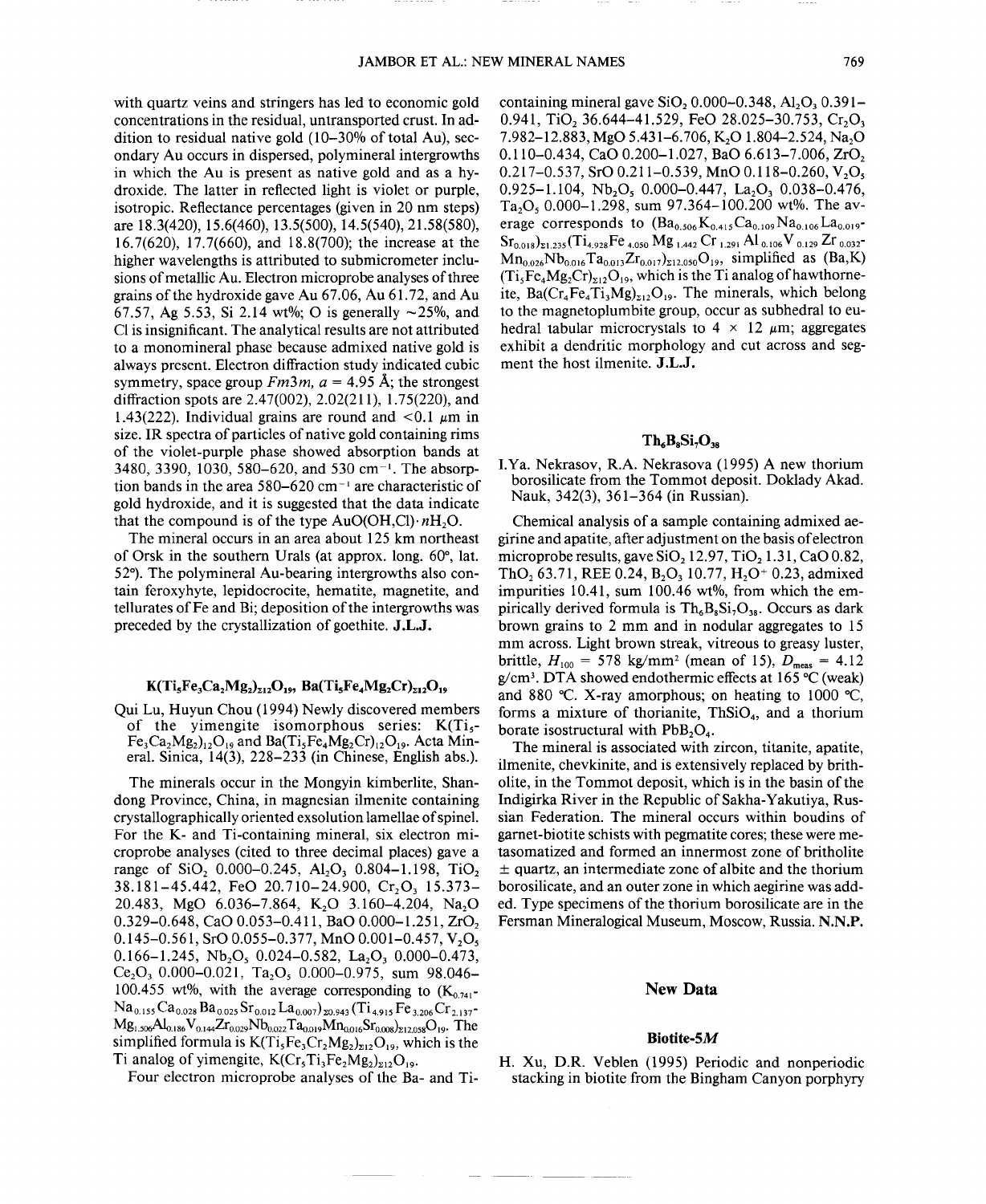with quartz veins and stringers has led to economic gold concentrations in the residual, untransported crust. In addition to residual native gold (10-30% of total Au), secondary Au occurs in dispersed, polymineral intergrowths in which the Au is present as native gold and as a hydroxide. The latter in reflected light is violet or purple, isotropic. Reflectance percentages (given in 20 nm steps) are 18.3(420), 15.6(460), 13.5(500), 14.5(540),21.58(580), 16.7(620), 17.7(660), and 18.8(700); the increase at the higher wavelengths is attributed to submicrometer inclusions of metallic Au. Electron microprobe analyses of three grains of the hydroxide gave Au 67.06, Au 61.72, and Au 67.57, Ag 5.53, Si 2.14 wt%; O is generally  $\sim$ 25%, and CI is insignificant. The analytical results are not attributed to a monomineral phase because admixed native gold is always present. Electron diffraction study indicated cubic symmetry, space group  $Fm3m$ ,  $a = 4.95$  Å; the strongest diffraction spots are 2.47(002), 2.02(211), 1.75(220), and 1.43(222). Individual grains are round and  $\lt 0.1 \mu m$  in size. IR spectra of particles of native gold containing rims of the violet-purple phase showed absorption bands at 3480, 3390, 1030, 580–620, and 530 cm<sup>-1</sup>. The absorption bands in the area  $580-620$  cm<sup>-1</sup> are characteristic of gold hydroxide, and it is suggested that the data indicate that the compound is of the type  $AuO(OH,Cl) \cdot nH_2O$ .

The mineral occurs in an area about 125 km northeast of Orsk in the southern Urals (at approx. long. 60°, lat. 52°). The polymineral Au-bearing intergrowths also contain feroxyhyte, lepidocrocite, hematite, magnetite, and tellurates of Fe and Bi; deposition of the intergrowths was preceded by the crystallization of goethite. J.L.J.

# $K(Ti_{5}Fe_{3}Ca_{2}Mg_{2})_{\Sigma12}O_{19}$ , Ba(Ti<sub>s</sub>Fe<sub>4</sub>Mg<sub>2</sub>Cr)<sub>212</sub>O<sub>19</sub>

Qui Lu, Huyun Chou (1994) Newly discovered members of the yimengite isomorphous series:  $K(Ti<sub>5</sub> Fe<sub>3</sub>Ca<sub>2</sub>Mg<sub>2</sub>)<sub>12</sub>O<sub>19</sub>$  and Ba(Ti<sub>5</sub>Fe<sub>4</sub>Mg<sub>2</sub>Cr)<sub>12</sub>O<sub>19</sub>. Acta Mineral. Sinica, 14(3), 228-233 (in Chinese, English abs.).

The minerals occur in the Mongyin kimberlite, Shandong Province, China, in magnesian ilmenite containing crystallographically oriented exsolution lamellae of spinel. For the K- and Ti-containing mineral, six electron microprobe analyses (cited to three decimal places) gave a range of  $SiO_2$  0.000-0.245,  $Al_2O_3$  0.804-1.198, TiO<sub>2</sub>  $38.181 - 45.442$ , FeO 20.710-24.900, Cr<sub>2</sub>O<sub>3</sub> 15.373-20.483, MgO 6.036-7.864, K<sub>2</sub>O 3.160-4.204, Na<sub>2</sub>O 0.329-0.648, CaO 0.053-0.411, BaO 0.000-1.251, ZrO<sub>2</sub> 0.145-0.561, SrO 0.055-0.377, MnO 0.001-0.457, V,O, 0.166-1.245, Nb<sub>2</sub>O<sub>5</sub> 0.024-0.582, La<sub>2</sub>O<sub>3</sub> 0.000-0.473, Ce<sub>2</sub>O<sub>3</sub> 0.000-0.021, Ta<sub>2</sub>O<sub>5</sub> 0.000-0.975, sum 98.046-100.455 wt%, with the average corresponding to  $(K_{0.741}$ - ${\rm Na}_{0.155}{\rm Ca}_{0.028}{\rm Ba}_{0.025}{\rm Sr}_{0.012}{\rm La}_{0.007})_{z0.943}({\rm Ti}_{4.915}{\rm Fe}_{3.206}{\rm Cr}_{2.137}$  $Mg_{1.506}Al_{0.186}V_{0.144}Zr_{0.029}Nb_{0.022}Ta_{0.019}Mn_{0.016}Sr_{0.008})_{212.058}O_{19}$ . The simplified formula is  $K(T_i sFe_3Cr_2Mg_2)_{\text{z12}}O_{19}$ , which is the Ti analog of yimengite,  $K(Cr_5Ti_3Fe_2Mg_2)_{z12}O_{19}$ .

Four electron microprobe analyses of the Ba- and Ti-

containing mineral gave  $SiO_2 0.000-0.348$ , Al<sub>2</sub>O<sub>3</sub> 0.391-0.941, TiO, 36.644-41.529, FeO 28.025-30.753, Cr,O<sub>3</sub> 7.982-12.883, MgO 5.431-6.706, K<sub>2</sub>O 1.804-2.524, Na<sub>2</sub>O 0.110-0.434, CaO 0.200-1.027, BaO 6.613-7.006, ZrO<sub>2</sub> 0.217-0.537, SrO 0.211-0.539, MnO 0.118-0.260, V<sub>2</sub>O<sub>5</sub>  $0.925 - 1.104$ , Nb<sub>2</sub>O<sub>5</sub>  $0.000 - 0.447$ , La<sub>2</sub>O<sub>3</sub>  $0.038 - 0.476$ , Ta<sub>2</sub>O<sub>5</sub> 0.000–1.298, sum 97.364–100.200 wt%. The average corresponds to  $(Ba_{0.506}K_{0.415}Ca_{0.109}Na_{0.106}La_{0.019}$ - $Sr_{0.018})_{21.235}(Ti_{4.928}Fe_{4.050}Mg_{1.442}Cr_{1.291}Al_{0.106}V_{0.129}Zr_{0.032}$  $Mn_{0.026}Nb_{0.016}Ta_{0.013}Zr_{0.017}R_{212.050}O_{19}$ , simplified as (Ba,K)  $(T_i$ <sub>5</sub>Fe<sub>4</sub>Mg<sub>2</sub>Cr)<sub>x12</sub>O<sub>19</sub>, which is the Ti analog of hawthorneite, Ba( $Cr_4Fe_4Ti_3Mg$ <sub>212</sub>O<sub>19</sub>. The minerals, which belong to the magnetoplumbite group, occur as subhedral to euhedral tabular microcrystals to  $4 \times 12 \mu m$ ; aggregates exhibit a dendritic morphology and cut across and segment the host ilmenite. J.L.J.

## $Th<sub>a</sub>B<sub>s</sub>Si<sub>2</sub>O<sub>38</sub>$

I.Ya. Nekrasov, R.A. Nekrasova (1995) A new thorium borosilicate from the Tommot deposit. Doklady Akad. Nauk, 342(3), 361-364 (in Russian).

Chemical analysis of a sample containing admixed aegirine and apatite, after adjustment on the basis of electron microprobe results, gave  $SiO<sub>2</sub> 12.97$ , TiO<sub>2</sub> 1.31, CaO 0.82, ThO<sub>2</sub> 63.71, REE 0.24, B<sub>2</sub>O<sub>3</sub> 10.77, H<sub>2</sub>O<sup>+</sup> 0.23, admixed impurities 10.41, sum 100.46 wt%, from which the empirically derived formula is  $Th_6B_8Si_7O_{38}$ . Occurs as dark brown grains to 2 mm and in nodular aggregates to 15 mm across. Light brown streak, vitreous to greasy luster, brittle,  $H_{100} = 578 \text{ kg/mm}^2$  (mean of 15),  $D_{\text{meas}} = 4.12$ g/cm3. DTA showed endothermic effects at 165°C (weak) and 880 °C. X-ray amorphous; on heating to 1000 °C, forms a mixture of thorianite,  $ThSiO<sub>4</sub>$ , and a thorium borate isostructural with  $PbB_2O_4$ .

The mineral is associated with zircon, titanite, apatite, ilmenite, chevkinite, and is extensively replaced by britholite, in the Tommot deposit, which is in the basin of the Indigirka River in the Republic of Sakha-Yakutiya, Russian Federation. The mineral occurs within boudins of gamet-biotite schists with pegmatite cores; these were metasomatized and formed an innermost zone of britholite  $±$  quartz, an intermediate zone of albite and the thorium borosilicate, and an outer zone in which aegirine was added. Type specimens of the thorium borosilicate are in the Fersman Mineralogical Museum, Moscow, Russia. N.N.P.

## New **Data**

#### Biotite-5M

H. Xu, D.R. Veblen (1995) Periodic and nonperiodic stacking in biotite from the Bingham Canyon porphyry